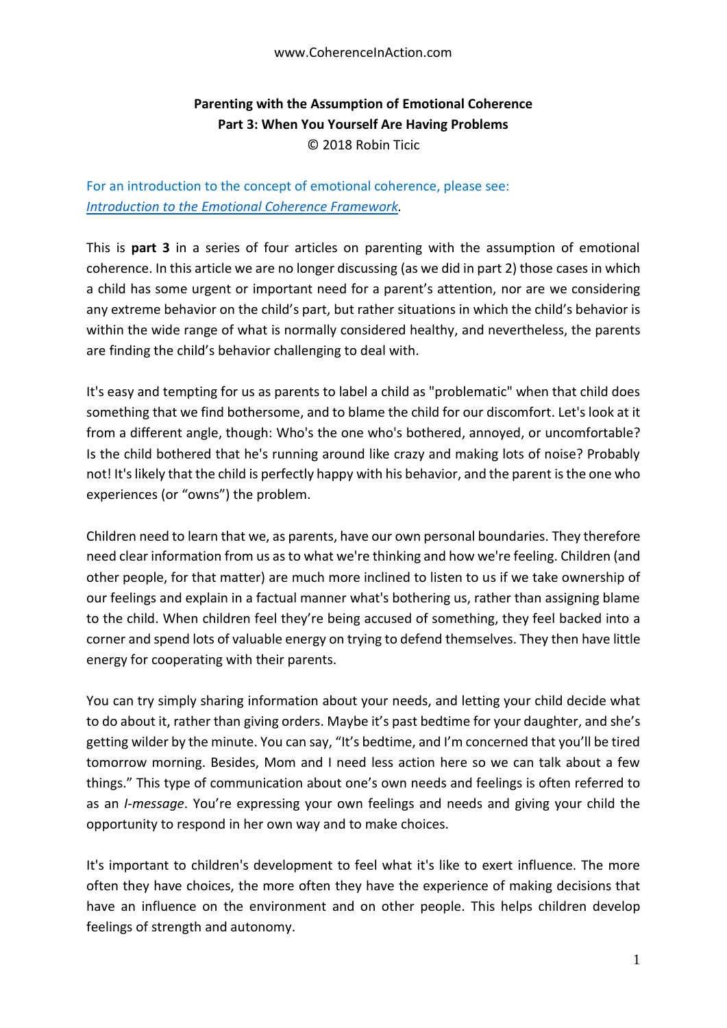## **Parenting with the Assumption of Emotional Coherence Part 3: When You Yourself Are Having Problems** © 2018 Robin Ticic

## For an introduction to the concept of emotional coherence, please see: *[Introduction to the Emotional Coherence Framework.](https://docs.wixstatic.com/ugd/c5924b_b0a26bc557dd48ac9421975d9b8dce9a.pdf)*

This is **part 3** in a series of four articles on parenting with the assumption of emotional coherence. In this article we are no longer discussing (as we did in part 2) those cases in which a child has some urgent or important need for a parent's attention, nor are we considering any extreme behavior on the child's part, but rather situations in which the child's behavior is within the wide range of what is normally considered healthy, and nevertheless, the parents are finding the child's behavior challenging to deal with.

It's easy and tempting for us as parents to label a child as "problematic" when that child does something that we find bothersome, and to blame the child for our discomfort. Let's look at it from a different angle, though: Who's the one who's bothered, annoyed, or uncomfortable? Is the child bothered that he's running around like crazy and making lots of noise? Probably not! It's likely that the child is perfectly happy with his behavior, and the parent is the one who experiences (or "owns") the problem.

Children need to learn that we, as parents, have our own personal boundaries. They therefore need clear information from us as to what we're thinking and how we're feeling. Children (and other people, for that matter) are much more inclined to listen to us if we take ownership of our feelings and explain in a factual manner what's bothering us, rather than assigning blame to the child. When children feel they're being accused of something, they feel backed into a corner and spend lots of valuable energy on trying to defend themselves. They then have little energy for cooperating with their parents.

You can try simply sharing information about your needs, and letting your child decide what to do about it, rather than giving orders. Maybe it's past bedtime for your daughter, and she's getting wilder by the minute. You can say, "It's bedtime, and I'm concerned that you'll be tired tomorrow morning. Besides, Mom and I need less action here so we can talk about a few things." This type of communication about one's own needs and feelings is often referred to as an *I-message*. You're expressing your own feelings and needs and giving your child the opportunity to respond in her own way and to make choices.

It's important to children's development to feel what it's like to exert influence. The more often they have choices, the more often they have the experience of making decisions that have an influence on the environment and on other people. This helps children develop feelings of strength and autonomy.